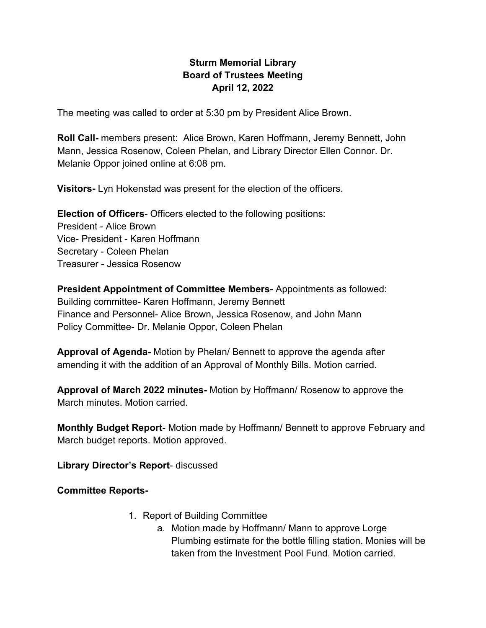## **Sturm Memorial Library Board of Trustees Meeting April 12, 2022**

The meeting was called to order at 5:30 pm by President Alice Brown.

**Roll Call-** members present: Alice Brown, Karen Hoffmann, Jeremy Bennett, John Mann, Jessica Rosenow, Coleen Phelan, and Library Director Ellen Connor. Dr. Melanie Oppor joined online at 6:08 pm.

**Visitors-** Lyn Hokenstad was present for the election of the officers.

**Election of Officers**- Officers elected to the following positions: President - Alice Brown Vice- President - Karen Hoffmann Secretary - Coleen Phelan Treasurer - Jessica Rosenow

**President Appointment of Committee Members**- Appointments as followed: Building committee- Karen Hoffmann, Jeremy Bennett Finance and Personnel- Alice Brown, Jessica Rosenow, and John Mann Policy Committee- Dr. Melanie Oppor, Coleen Phelan

**Approval of Agenda-** Motion by Phelan/ Bennett to approve the agenda after amending it with the addition of an Approval of Monthly Bills. Motion carried.

**Approval of March 2022 minutes-** Motion by Hoffmann/ Rosenow to approve the March minutes. Motion carried.

**Monthly Budget Report**- Motion made by Hoffmann/ Bennett to approve February and March budget reports. Motion approved.

**Library Director's Report**- discussed

**Committee Reports-**

- 1. Report of Building Committee
	- a. Motion made by Hoffmann/ Mann to approve Lorge Plumbing estimate for the bottle filling station. Monies will be taken from the Investment Pool Fund. Motion carried.